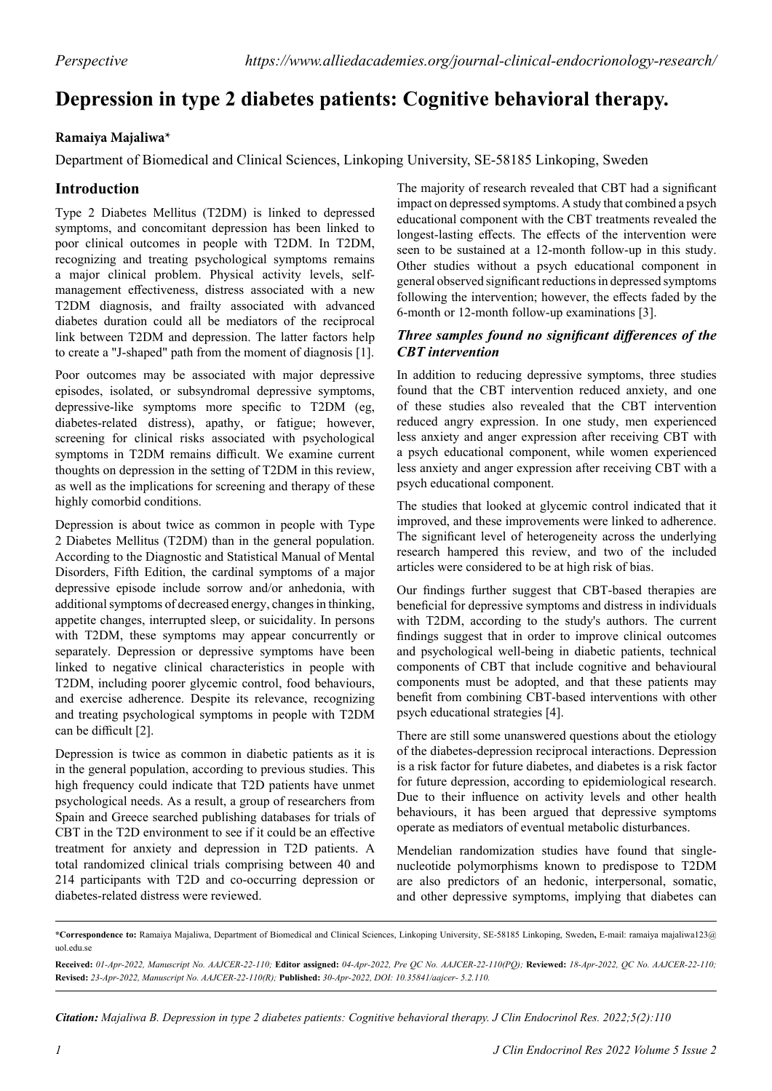# **Depression in type 2 diabetes patients: Cognitive behavioral therapy.**

### **Ramaiya Majaliwa\***

Department of Biomedical and Clinical Sciences, Linkoping University, SE-58185 Linkoping, Sweden

## **Introduction**

Type 2 Diabetes Mellitus (T2DM) is linked to depressed symptoms, and concomitant depression has been linked to poor clinical outcomes in people with T2DM. In T2DM, recognizing and treating psychological symptoms remains a major clinical problem. Physical activity levels, selfmanagement effectiveness, distress associated with a new T2DM diagnosis, and frailty associated with advanced diabetes duration could all be mediators of the reciprocal link between T2DM and depression. The latter factors help to create a "J-shaped" path from the moment of diagnosis [1].

Poor outcomes may be associated with major depressive episodes, isolated, or subsyndromal depressive symptoms, depressive-like symptoms more specific to T2DM (eg, diabetes-related distress), apathy, or fatigue; however, screening for clinical risks associated with psychological symptoms in T2DM remains difficult. We examine current thoughts on depression in the setting of T2DM in this review, as well as the implications for screening and therapy of these highly comorbid conditions.

Depression is about twice as common in people with Type 2 Diabetes Mellitus (T2DM) than in the general population. According to the Diagnostic and Statistical Manual of Mental Disorders, Fifth Edition, the cardinal symptoms of a major depressive episode include sorrow and/or anhedonia, with additional symptoms of decreased energy, changes in thinking, appetite changes, interrupted sleep, or suicidality. In persons with T2DM, these symptoms may appear concurrently or separately. Depression or depressive symptoms have been linked to negative clinical characteristics in people with T2DM, including poorer glycemic control, food behaviours, and exercise adherence. Despite its relevance, recognizing and treating psychological symptoms in people with T2DM can be difficult [2].

Depression is twice as common in diabetic patients as it is in the general population, according to previous studies. This high frequency could indicate that T2D patients have unmet psychological needs. As a result, a group of researchers from Spain and Greece searched publishing databases for trials of CBT in the T2D environment to see if it could be an effective treatment for anxiety and depression in T2D patients. A total randomized clinical trials comprising between 40 and 214 participants with T2D and co-occurring depression or diabetes-related distress were reviewed.

The majority of research revealed that CBT had a significant impact on depressed symptoms. A study that combined a psych educational component with the CBT treatments revealed the longest-lasting effects. The effects of the intervention were seen to be sustained at a 12-month follow-up in this study. Other studies without a psych educational component in general observed significant reductions in depressed symptoms following the intervention; however, the effects faded by the 6-month or 12-month follow-up examinations [3].

#### *Three samples found no significant differences of the CBT intervention*

In addition to reducing depressive symptoms, three studies found that the CBT intervention reduced anxiety, and one of these studies also revealed that the CBT intervention reduced angry expression. In one study, men experienced less anxiety and anger expression after receiving CBT with a psych educational component, while women experienced less anxiety and anger expression after receiving CBT with a psych educational component.

The studies that looked at glycemic control indicated that it improved, and these improvements were linked to adherence. The significant level of heterogeneity across the underlying research hampered this review, and two of the included articles were considered to be at high risk of bias.

Our findings further suggest that CBT-based therapies are beneficial for depressive symptoms and distress in individuals with T2DM, according to the study's authors. The current findings suggest that in order to improve clinical outcomes and psychological well-being in diabetic patients, technical components of CBT that include cognitive and behavioural components must be adopted, and that these patients may benefit from combining CBT-based interventions with other psych educational strategies [4].

There are still some unanswered questions about the etiology of the diabetes-depression reciprocal interactions. Depression is a risk factor for future diabetes, and diabetes is a risk factor for future depression, according to epidemiological research. Due to their influence on activity levels and other health behaviours, it has been argued that depressive symptoms operate as mediators of eventual metabolic disturbances.

Mendelian randomization studies have found that singlenucleotide polymorphisms known to predispose to T2DM are also predictors of an hedonic, interpersonal, somatic, and other depressive symptoms, implying that diabetes can

*Citation: Majaliwa B. Depression in type 2 diabetes patients: Cognitive behavioral therapy. J Clin Endocrinol Res. 2022;5(2):110*

**<sup>\*</sup>Correspondence to:** Ramaiya Majaliwa, Department of Biomedical and Clinical Sciences, Linkoping University, SE-58185 Linkoping, Sweden**,** E-mail: ramaiya majaliwa123@ uol.edu.se

**Received:** *01-Apr-2022, Manuscript No. AAJCER-22-110;* **Editor assigned:** *04-Apr-2022, Pre QC No. AAJCER-22-110(PQ);* **Reviewed:** *18-Apr-2022, QC No. AAJCER-22-110;*  **Revised:** *23-Apr-2022, Manuscript No. AAJCER-22-110(R);* **Published:** *30-Apr-2022, DOI: 10.35841/aajcer- 5.2.110.*